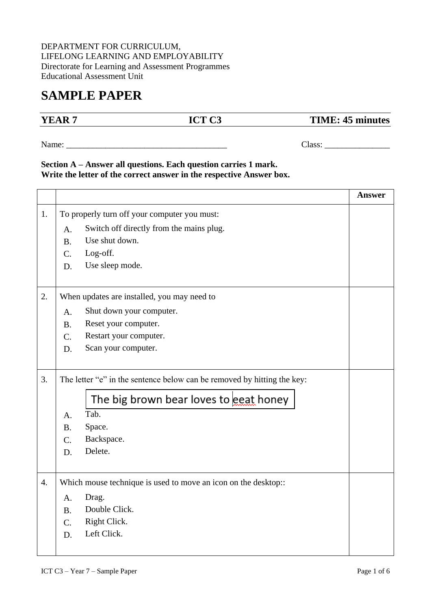## DEPARTMENT FOR CURRICULUM, LIFELONG LEARNING AND EMPLOYABILITY Directorate for Learning and Assessment Programmes Educational Assessment Unit

## **SAMPLE PAPER**

## **YEAR 7 ICT C3 TIME: 45 minutes**

Name: \_\_\_\_\_\_\_\_\_\_\_\_\_\_\_\_\_\_\_\_\_\_\_\_\_\_\_\_\_\_\_\_\_\_\_\_\_ Class: \_\_\_\_\_\_\_\_\_\_\_\_\_\_\_

## **Section A – Answer all questions. Each question carries 1 mark. Write the letter of the correct answer in the respective Answer box.**

|    |                                                                         |                                          | <b>Answer</b> |
|----|-------------------------------------------------------------------------|------------------------------------------|---------------|
| 1. | To properly turn off your computer you must:                            |                                          |               |
|    | A.                                                                      | Switch off directly from the mains plug. |               |
|    | <b>B.</b>                                                               | Use shut down.                           |               |
|    | $C_{\cdot}$                                                             | Log-off.                                 |               |
|    | D.                                                                      | Use sleep mode.                          |               |
| 2. | When updates are installed, you may need to                             |                                          |               |
|    | A.                                                                      | Shut down your computer.                 |               |
|    | <b>B.</b>                                                               | Reset your computer.                     |               |
|    | C.                                                                      | Restart your computer.                   |               |
|    | D.                                                                      | Scan your computer.                      |               |
|    |                                                                         |                                          |               |
| 3. | The letter "e" in the sentence below can be removed by hitting the key: |                                          |               |
|    |                                                                         | The big brown bear loves to eeat honey   |               |
|    | A.                                                                      | Tab.                                     |               |
|    | <b>B.</b>                                                               | Space.                                   |               |
|    | C.                                                                      | Backspace.                               |               |
|    | D.                                                                      | Delete.                                  |               |
| 4. | Which mouse technique is used to move an icon on the desktop::          |                                          |               |
|    | A.                                                                      | Drag.                                    |               |
|    | B <sub>1</sub>                                                          | Double Click.                            |               |
|    | C.                                                                      | Right Click.                             |               |
|    | D.                                                                      | Left Click.                              |               |
|    |                                                                         |                                          |               |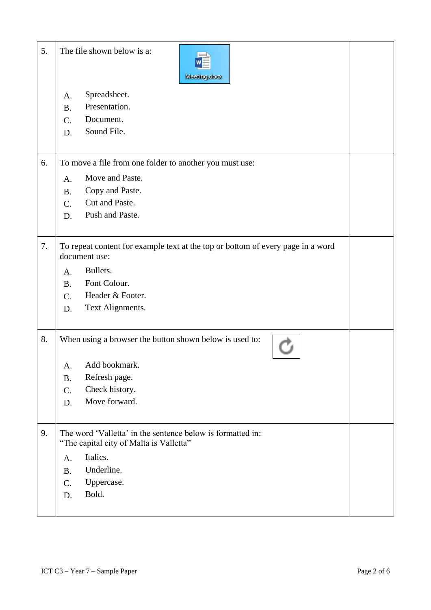| 5. |           | The file shown below is a:<br>Meeting.docx                                                            |  |
|----|-----------|-------------------------------------------------------------------------------------------------------|--|
|    | A.        | Spreadsheet.                                                                                          |  |
|    | <b>B.</b> | Presentation.                                                                                         |  |
|    | C.        | Document.                                                                                             |  |
|    | D.        | Sound File.                                                                                           |  |
|    |           |                                                                                                       |  |
| 6. |           | To move a file from one folder to another you must use:                                               |  |
|    | A.        | Move and Paste.                                                                                       |  |
|    | <b>B.</b> | Copy and Paste.                                                                                       |  |
|    | C.        | Cut and Paste.                                                                                        |  |
|    | D.        | Push and Paste.                                                                                       |  |
| 7. |           | To repeat content for example text at the top or bottom of every page in a word<br>document use:      |  |
|    | A.        | Bullets.                                                                                              |  |
|    | <b>B.</b> | Font Colour.                                                                                          |  |
|    | $C$ .     | Header & Footer.                                                                                      |  |
|    | D.        | Text Alignments.                                                                                      |  |
| 8. |           | When using a browser the button shown below is used to:                                               |  |
|    | A.        | Add bookmark.                                                                                         |  |
|    | <b>B.</b> | Refresh page.                                                                                         |  |
|    | C.        | Check history.                                                                                        |  |
|    | D.        | Move forward.                                                                                         |  |
| 9. |           | The word 'Valletta' in the sentence below is formatted in:<br>"The capital city of Malta is Valletta" |  |
|    | A.        | Italics.                                                                                              |  |
|    | <b>B.</b> | Underline.                                                                                            |  |
|    | C.        | Uppercase.                                                                                            |  |
|    | D.        | Bold.                                                                                                 |  |
|    |           |                                                                                                       |  |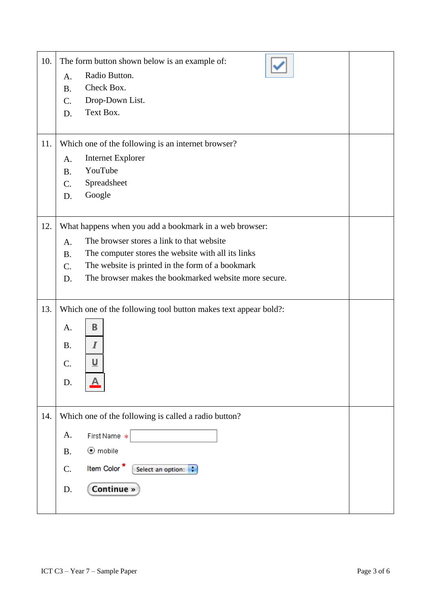| 10.<br>11. | The form button shown below is an example of:<br>Radio Button.<br>A.<br>Check Box.<br><b>B.</b><br>Drop-Down List.<br>C.<br>Text Box.<br>D.<br>Which one of the following is an internet browser? |  |
|------------|---------------------------------------------------------------------------------------------------------------------------------------------------------------------------------------------------|--|
|            | <b>Internet Explorer</b><br>A.                                                                                                                                                                    |  |
|            | YouTube<br>B.                                                                                                                                                                                     |  |
|            | Spreadsheet<br>C.                                                                                                                                                                                 |  |
|            | Google<br>D.                                                                                                                                                                                      |  |
| 12.        | What happens when you add a bookmark in a web browser:                                                                                                                                            |  |
|            | The browser stores a link to that website<br>A.                                                                                                                                                   |  |
|            | The computer stores the website with all its links<br><b>B.</b>                                                                                                                                   |  |
|            | The website is printed in the form of a bookmark<br>C.                                                                                                                                            |  |
|            | The browser makes the bookmarked website more secure.<br>D.                                                                                                                                       |  |
|            |                                                                                                                                                                                                   |  |
| 13.        | Which one of the following tool button makes text appear bold?:                                                                                                                                   |  |
|            | В<br>A.                                                                                                                                                                                           |  |
|            | <b>B.</b><br>Ι                                                                                                                                                                                    |  |
|            |                                                                                                                                                                                                   |  |
|            | <u>u</u><br>$\mathcal{C}$ .                                                                                                                                                                       |  |
|            | D.                                                                                                                                                                                                |  |
|            |                                                                                                                                                                                                   |  |
| 14.        | Which one of the following is called a radio button?                                                                                                                                              |  |
|            | A.<br>First Name *                                                                                                                                                                                |  |
|            | $\odot$ mobile<br><b>B.</b>                                                                                                                                                                       |  |
|            | Item Color <sup>*</sup><br>C.<br>Select an option:                                                                                                                                                |  |
|            | Continue »<br>D.                                                                                                                                                                                  |  |
|            |                                                                                                                                                                                                   |  |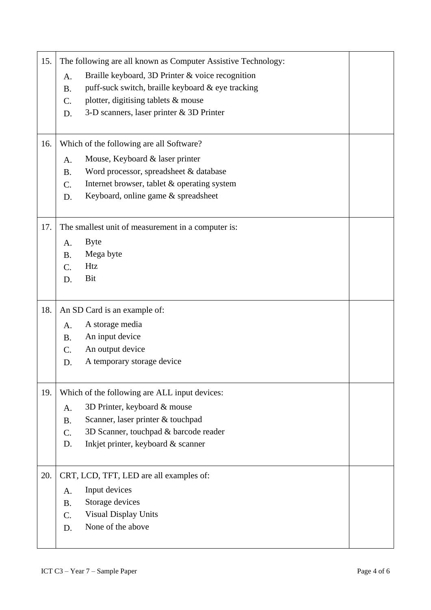| 15. | The following are all known as Computer Assistive Technology: |                                                   |  |
|-----|---------------------------------------------------------------|---------------------------------------------------|--|
|     | A.                                                            | Braille keyboard, 3D Printer & voice recognition  |  |
|     | <b>B.</b>                                                     | puff-suck switch, braille keyboard & eye tracking |  |
|     | $\mathcal{C}$ .                                               | plotter, digitising tablets & mouse               |  |
|     | D.                                                            | 3-D scanners, laser printer & 3D Printer          |  |
|     |                                                               |                                                   |  |
| 16. | Which of the following are all Software?                      |                                                   |  |
|     | A.                                                            | Mouse, Keyboard & laser printer                   |  |
|     | <b>B.</b>                                                     | Word processor, spreadsheet & database            |  |
|     | C.                                                            | Internet browser, tablet & operating system       |  |
|     | D.                                                            | Keyboard, online game & spreadsheet               |  |
|     |                                                               |                                                   |  |
| 17. | The smallest unit of measurement in a computer is:            |                                                   |  |
|     | A.                                                            | <b>Byte</b>                                       |  |
|     | <b>B.</b>                                                     | Mega byte                                         |  |
|     | $\mathcal{C}$ .                                               | <b>Htz</b>                                        |  |
|     | D.                                                            | Bit                                               |  |
|     |                                                               |                                                   |  |
| 18. | An SD Card is an example of:                                  |                                                   |  |
|     | A.                                                            | A storage media                                   |  |
|     | <b>B.</b>                                                     | An input device                                   |  |
|     | C.                                                            | An output device                                  |  |
|     | D.                                                            | A temporary storage device                        |  |
|     |                                                               |                                                   |  |
| 19. |                                                               | Which of the following are ALL input devices:     |  |
|     | A.                                                            | 3D Printer, keyboard & mouse                      |  |
|     | <b>B.</b>                                                     | Scanner, laser printer & touchpad                 |  |
|     | $\mathcal{C}$ .                                               | 3D Scanner, touchpad & barcode reader             |  |
|     | D.                                                            | Inkjet printer, keyboard & scanner                |  |
|     |                                                               |                                                   |  |
| 20. |                                                               | CRT, LCD, TFT, LED are all examples of:           |  |
|     | A.                                                            | Input devices                                     |  |
|     | <b>B.</b>                                                     | Storage devices                                   |  |
|     | C.                                                            | <b>Visual Display Units</b>                       |  |
|     |                                                               |                                                   |  |
|     | D.                                                            | None of the above                                 |  |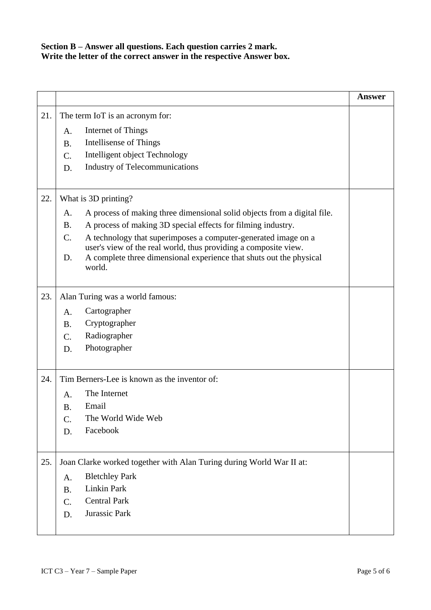**Section B – Answer all questions. Each question carries 2 mark. Write the letter of the correct answer in the respective Answer box.**

|     |                                                                                                                                              | <b>Answer</b> |
|-----|----------------------------------------------------------------------------------------------------------------------------------------------|---------------|
| 21. | The term IoT is an acronym for:                                                                                                              |               |
|     | Internet of Things<br>A.                                                                                                                     |               |
|     | <b>Intellisense of Things</b><br><b>B.</b>                                                                                                   |               |
|     | Intelligent object Technology<br>C.                                                                                                          |               |
|     | <b>Industry of Telecommunications</b><br>D.                                                                                                  |               |
|     |                                                                                                                                              |               |
| 22. | What is 3D printing?                                                                                                                         |               |
|     | A process of making three dimensional solid objects from a digital file.<br>A.                                                               |               |
|     | A process of making 3D special effects for filming industry.<br><b>B.</b>                                                                    |               |
|     | C.<br>A technology that superimposes a computer-generated image on a                                                                         |               |
|     | user's view of the real world, thus providing a composite view.<br>A complete three dimensional experience that shuts out the physical<br>D. |               |
|     | world.                                                                                                                                       |               |
|     |                                                                                                                                              |               |
| 23. | Alan Turing was a world famous:                                                                                                              |               |
|     | Cartographer<br>A.                                                                                                                           |               |
|     | Cryptographer<br><b>B.</b>                                                                                                                   |               |
|     | Radiographer<br>C.                                                                                                                           |               |
|     | Photographer<br>D.                                                                                                                           |               |
|     |                                                                                                                                              |               |
| 24. | Tim Berners-Lee is known as the inventor of:                                                                                                 |               |
|     | The Internet<br>A.                                                                                                                           |               |
|     | Email<br><b>B.</b>                                                                                                                           |               |
|     | C.<br>The World Wide Web                                                                                                                     |               |
|     | Facebook<br>D.                                                                                                                               |               |
|     |                                                                                                                                              |               |
| 25. | Joan Clarke worked together with Alan Turing during World War II at:                                                                         |               |
|     | <b>Bletchley Park</b><br>A.                                                                                                                  |               |
|     | <b>Linkin Park</b><br>Β.                                                                                                                     |               |
|     | <b>Central Park</b><br>C.                                                                                                                    |               |
|     | Jurassic Park<br>D.                                                                                                                          |               |
|     |                                                                                                                                              |               |